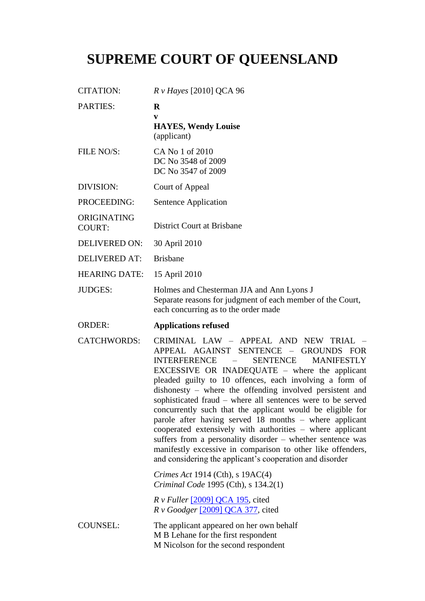## **SUPREME COURT OF QUEENSLAND**

| <b>CITATION:</b>             | $R \nu$ Hayes [2010] QCA 96                                                                                                                                                                                                                                                                                                                                                                                                                                                                                                                                                                                                                                                                                                                                                                    |
|------------------------------|------------------------------------------------------------------------------------------------------------------------------------------------------------------------------------------------------------------------------------------------------------------------------------------------------------------------------------------------------------------------------------------------------------------------------------------------------------------------------------------------------------------------------------------------------------------------------------------------------------------------------------------------------------------------------------------------------------------------------------------------------------------------------------------------|
| <b>PARTIES:</b>              | $\bf R$<br>V<br><b>HAYES, Wendy Louise</b><br>(applicant)                                                                                                                                                                                                                                                                                                                                                                                                                                                                                                                                                                                                                                                                                                                                      |
| FILE NO/S:                   | CA No 1 of 2010<br>DC No 3548 of 2009<br>DC No 3547 of 2009                                                                                                                                                                                                                                                                                                                                                                                                                                                                                                                                                                                                                                                                                                                                    |
| DIVISION:                    | Court of Appeal                                                                                                                                                                                                                                                                                                                                                                                                                                                                                                                                                                                                                                                                                                                                                                                |
| PROCEEDING:                  | Sentence Application                                                                                                                                                                                                                                                                                                                                                                                                                                                                                                                                                                                                                                                                                                                                                                           |
| ORIGINATING<br><b>COURT:</b> | <b>District Court at Brisbane</b>                                                                                                                                                                                                                                                                                                                                                                                                                                                                                                                                                                                                                                                                                                                                                              |
| <b>DELIVERED ON:</b>         | 30 April 2010                                                                                                                                                                                                                                                                                                                                                                                                                                                                                                                                                                                                                                                                                                                                                                                  |
| <b>DELIVERED AT:</b>         | <b>Brisbane</b>                                                                                                                                                                                                                                                                                                                                                                                                                                                                                                                                                                                                                                                                                                                                                                                |
| <b>HEARING DATE:</b>         | 15 April 2010                                                                                                                                                                                                                                                                                                                                                                                                                                                                                                                                                                                                                                                                                                                                                                                  |
| <b>JUDGES:</b>               | Holmes and Chesterman JJA and Ann Lyons J<br>Separate reasons for judgment of each member of the Court,<br>each concurring as to the order made                                                                                                                                                                                                                                                                                                                                                                                                                                                                                                                                                                                                                                                |
|                              |                                                                                                                                                                                                                                                                                                                                                                                                                                                                                                                                                                                                                                                                                                                                                                                                |
| <b>ORDER:</b>                | <b>Applications refused</b>                                                                                                                                                                                                                                                                                                                                                                                                                                                                                                                                                                                                                                                                                                                                                                    |
| <b>CATCHWORDS:</b>           | CRIMINAL LAW - APPEAL AND NEW TRIAL -<br>APPEAL AGAINST SENTENCE - GROUNDS FOR<br><b>SENTENCE</b><br><b>INTERFERENCE</b><br><b>MANIFESTLY</b><br>$\overline{\phantom{0}}$<br>EXCESSIVE OR INADEQUATE - where the applicant<br>pleaded guilty to 10 offences, each involving a form of<br>dishonesty – where the offending involved persistent and<br>sophisticated fraud – where all sentences were to be served<br>concurrently such that the applicant would be eligible for<br>parole after having served 18 months – where applicant<br>cooperated extensively with authorities – where applicant<br>suffers from a personality disorder – whether sentence was<br>manifestly excessive in comparison to other like offenders,<br>and considering the applicant's cooperation and disorder |
|                              | Crimes Act 1914 (Cth), s $19AC(4)$<br>Criminal Code 1995 (Cth), s 134.2(1)                                                                                                                                                                                                                                                                                                                                                                                                                                                                                                                                                                                                                                                                                                                     |
|                              | $R \nu$ Fuller [2009] QCA 195, cited<br>$R \nu$ Goodger [2009] QCA 377, cited                                                                                                                                                                                                                                                                                                                                                                                                                                                                                                                                                                                                                                                                                                                  |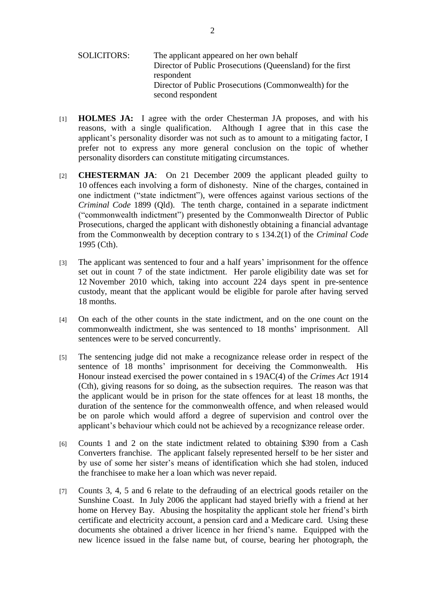- SOLICITORS: The applicant appeared on her own behalf Director of Public Prosecutions (Queensland) for the first respondent Director of Public Prosecutions (Commonwealth) for the second respondent
- [1] **HOLMES JA:** I agree with the order Chesterman JA proposes, and with his reasons, with a single qualification. Although I agree that in this case the applicant"s personality disorder was not such as to amount to a mitigating factor, I prefer not to express any more general conclusion on the topic of whether personality disorders can constitute mitigating circumstances.
- [2] **CHESTERMAN JA**: On 21 December 2009 the applicant pleaded guilty to 10 offences each involving a form of dishonesty. Nine of the charges, contained in one indictment ("state indictment"), were offences against various sections of the *Criminal Code* 1899 (Qld). The tenth charge, contained in a separate indictment ("commonwealth indictment") presented by the Commonwealth Director of Public Prosecutions, charged the applicant with dishonestly obtaining a financial advantage from the Commonwealth by deception contrary to s 134.2(1) of the *Criminal Code* 1995 (Cth).
- [3] The applicant was sentenced to four and a half years' imprisonment for the offence set out in count 7 of the state indictment. Her parole eligibility date was set for 12 November 2010 which, taking into account 224 days spent in pre-sentence custody, meant that the applicant would be eligible for parole after having served 18 months.
- [4] On each of the other counts in the state indictment, and on the one count on the commonwealth indictment, she was sentenced to 18 months' imprisonment. All sentences were to be served concurrently.
- [5] The sentencing judge did not make a recognizance release order in respect of the sentence of 18 months" imprisonment for deceiving the Commonwealth. His Honour instead exercised the power contained in s 19AC(4) of the *Crimes Act* 1914 (Cth), giving reasons for so doing, as the subsection requires. The reason was that the applicant would be in prison for the state offences for at least 18 months, the duration of the sentence for the commonwealth offence, and when released would be on parole which would afford a degree of supervision and control over the applicant"s behaviour which could not be achieved by a recognizance release order.
- [6] Counts 1 and 2 on the state indictment related to obtaining \$390 from a Cash Converters franchise. The applicant falsely represented herself to be her sister and by use of some her sister"s means of identification which she had stolen, induced the franchisee to make her a loan which was never repaid.
- [7] Counts 3, 4, 5 and 6 relate to the defrauding of an electrical goods retailer on the Sunshine Coast. In July 2006 the applicant had stayed briefly with a friend at her home on Hervey Bay. Abusing the hospitality the applicant stole her friend's birth certificate and electricity account, a pension card and a Medicare card. Using these documents she obtained a driver licence in her friend"s name. Equipped with the new licence issued in the false name but, of course, bearing her photograph, the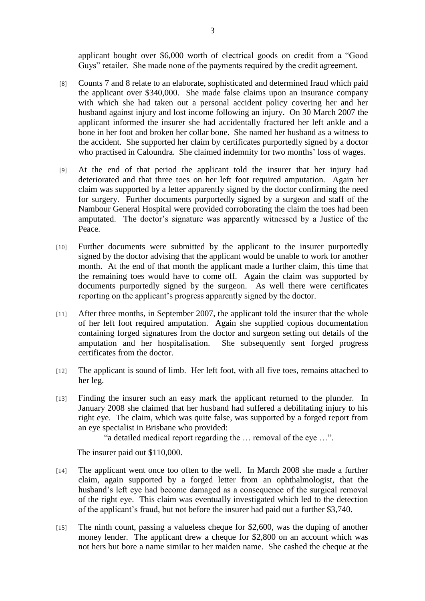applicant bought over \$6,000 worth of electrical goods on credit from a "Good Guys" retailer. She made none of the payments required by the credit agreement.

- [8] Counts 7 and 8 relate to an elaborate, sophisticated and determined fraud which paid the applicant over \$340,000. She made false claims upon an insurance company with which she had taken out a personal accident policy covering her and her husband against injury and lost income following an injury. On 30 March 2007 the applicant informed the insurer she had accidentally fractured her left ankle and a bone in her foot and broken her collar bone. She named her husband as a witness to the accident. She supported her claim by certificates purportedly signed by a doctor who practised in Caloundra. She claimed indemnity for two months' loss of wages.
- [9] At the end of that period the applicant told the insurer that her injury had deteriorated and that three toes on her left foot required amputation. Again her claim was supported by a letter apparently signed by the doctor confirming the need for surgery. Further documents purportedly signed by a surgeon and staff of the Nambour General Hospital were provided corroborating the claim the toes had been amputated. The doctor"s signature was apparently witnessed by a Justice of the Peace.
- [10] Further documents were submitted by the applicant to the insurer purportedly signed by the doctor advising that the applicant would be unable to work for another month. At the end of that month the applicant made a further claim, this time that the remaining toes would have to come off. Again the claim was supported by documents purportedly signed by the surgeon. As well there were certificates reporting on the applicant"s progress apparently signed by the doctor.
- [11] After three months, in September 2007, the applicant told the insurer that the whole of her left foot required amputation. Again she supplied copious documentation containing forged signatures from the doctor and surgeon setting out details of the amputation and her hospitalisation. She subsequently sent forged progress certificates from the doctor.
- [12] The applicant is sound of limb. Her left foot, with all five toes, remains attached to her leg.
- [13] Finding the insurer such an easy mark the applicant returned to the plunder. In January 2008 she claimed that her husband had suffered a debilitating injury to his right eye. The claim, which was quite false, was supported by a forged report from an eye specialist in Brisbane who provided:

"a detailed medical report regarding the … removal of the eye …".

The insurer paid out \$110,000.

- [14] The applicant went once too often to the well. In March 2008 she made a further claim, again supported by a forged letter from an ophthalmologist, that the husband"s left eye had become damaged as a consequence of the surgical removal of the right eye. This claim was eventually investigated which led to the detection of the applicant"s fraud, but not before the insurer had paid out a further \$3,740.
- [15] The ninth count, passing a valueless cheque for \$2,600, was the duping of another money lender. The applicant drew a cheque for \$2,800 on an account which was not hers but bore a name similar to her maiden name. She cashed the cheque at the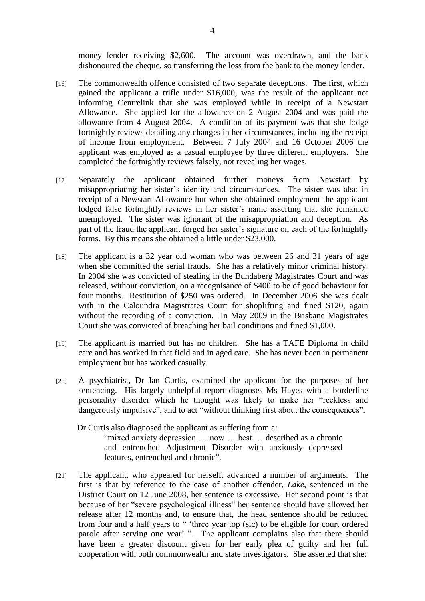money lender receiving \$2,600. The account was overdrawn, and the bank dishonoured the cheque, so transferring the loss from the bank to the money lender.

- [16] The commonwealth offence consisted of two separate deceptions. The first, which gained the applicant a trifle under \$16,000, was the result of the applicant not informing Centrelink that she was employed while in receipt of a Newstart Allowance. She applied for the allowance on 2 August 2004 and was paid the allowance from 4 August 2004. A condition of its payment was that she lodge fortnightly reviews detailing any changes in her circumstances, including the receipt of income from employment. Between 7 July 2004 and 16 October 2006 the applicant was employed as a casual employee by three different employers. She completed the fortnightly reviews falsely, not revealing her wages.
- [17] Separately the applicant obtained further moneys from Newstart by misappropriating her sister"s identity and circumstances. The sister was also in receipt of a Newstart Allowance but when she obtained employment the applicant lodged false fortnightly reviews in her sister's name asserting that she remained unemployed. The sister was ignorant of the misappropriation and deception. As part of the fraud the applicant forged her sister's signature on each of the fortnightly forms. By this means she obtained a little under \$23,000.
- [18] The applicant is a 32 year old woman who was between 26 and 31 years of age when she committed the serial frauds. She has a relatively minor criminal history. In 2004 she was convicted of stealing in the Bundaberg Magistrates Court and was released, without conviction, on a recognisance of \$400 to be of good behaviour for four months. Restitution of \$250 was ordered. In December 2006 she was dealt with in the Caloundra Magistrates Court for shoplifting and fined \$120, again without the recording of a conviction. In May 2009 in the Brisbane Magistrates Court she was convicted of breaching her bail conditions and fined \$1,000.
- [19] The applicant is married but has no children. She has a TAFE Diploma in child care and has worked in that field and in aged care. She has never been in permanent employment but has worked casually.
- [20] A psychiatrist, Dr Ian Curtis, examined the applicant for the purposes of her sentencing. His largely unhelpful report diagnoses Ms Hayes with a borderline personality disorder which he thought was likely to make her "reckless and dangerously impulsive", and to act "without thinking first about the consequences".

Dr Curtis also diagnosed the applicant as suffering from a: "mixed anxiety depression ... now ... best ... described as a chronic and entrenched Adjustment Disorder with anxiously depressed features, entrenched and chronic".

[21] The applicant, who appeared for herself, advanced a number of arguments. The first is that by reference to the case of another offender, *Lake*, sentenced in the District Court on 12 June 2008, her sentence is excessive. Her second point is that because of her "severe psychological illness" her sentence should have allowed her release after 12 months and, to ensure that, the head sentence should be reduced from four and a half years to " "three year top (sic) to be eligible for court ordered parole after serving one year' ". The applicant complains also that there should have been a greater discount given for her early plea of guilty and her full cooperation with both commonwealth and state investigators. She asserted that she: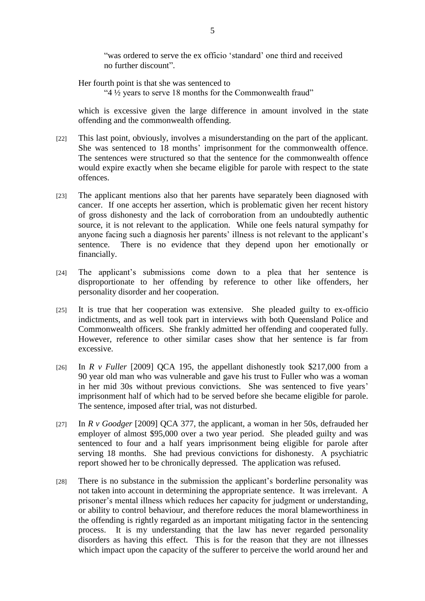"was ordered to serve the ex officio "standard" one third and received no further discount".

Her fourth point is that she was sentenced to

"4 ½ years to serve 18 months for the Commonwealth fraud"

which is excessive given the large difference in amount involved in the state offending and the commonwealth offending.

- [22] This last point, obviously, involves a misunderstanding on the part of the applicant. She was sentenced to 18 months' imprisonment for the commonwealth offence. The sentences were structured so that the sentence for the commonwealth offence would expire exactly when she became eligible for parole with respect to the state offences.
- [23] The applicant mentions also that her parents have separately been diagnosed with cancer. If one accepts her assertion, which is problematic given her recent history of gross dishonesty and the lack of corroboration from an undoubtedly authentic source, it is not relevant to the application. While one feels natural sympathy for anyone facing such a diagnosis her parents' illness is not relevant to the applicant's sentence. There is no evidence that they depend upon her emotionally or financially.
- [24] The applicant's submissions come down to a plea that her sentence is disproportionate to her offending by reference to other like offenders, her personality disorder and her cooperation.
- [25] It is true that her cooperation was extensive. She pleaded guilty to ex-officio indictments, and as well took part in interviews with both Queensland Police and Commonwealth officers. She frankly admitted her offending and cooperated fully. However, reference to other similar cases show that her sentence is far from excessive.
- [26] In *R v Fuller* [2009] QCA 195, the appellant dishonestly took \$217,000 from a 90 year old man who was vulnerable and gave his trust to Fuller who was a woman in her mid 30s without previous convictions. She was sentenced to five years' imprisonment half of which had to be served before she became eligible for parole. The sentence, imposed after trial, was not disturbed.
- [27] In *R v Goodger* [2009] QCA 377, the applicant, a woman in her 50s, defrauded her employer of almost \$95,000 over a two year period. She pleaded guilty and was sentenced to four and a half years imprisonment being eligible for parole after serving 18 months. She had previous convictions for dishonesty. A psychiatric report showed her to be chronically depressed. The application was refused.
- [28] There is no substance in the submission the applicant"s borderline personality was not taken into account in determining the appropriate sentence. It was irrelevant. A prisoner"s mental illness which reduces her capacity for judgment or understanding, or ability to control behaviour, and therefore reduces the moral blameworthiness in the offending is rightly regarded as an important mitigating factor in the sentencing process. It is my understanding that the law has never regarded personality disorders as having this effect. This is for the reason that they are not illnesses which impact upon the capacity of the sufferer to perceive the world around her and